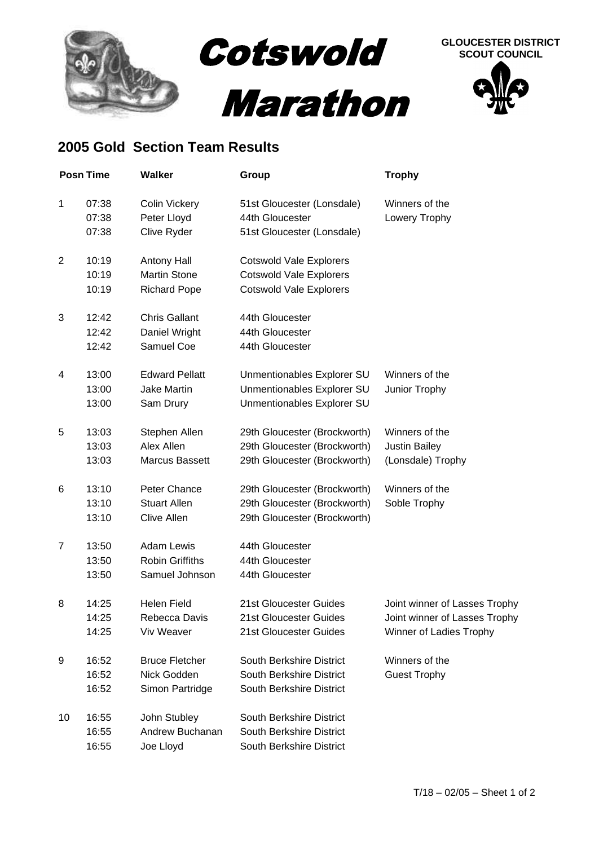



## **2005 Gold Section Team Results**

| <b>Posn Time</b> |                         | <b>Walker</b>                                                    | Group                                                                                              | <b>Trophy</b>                                                                             |
|------------------|-------------------------|------------------------------------------------------------------|----------------------------------------------------------------------------------------------------|-------------------------------------------------------------------------------------------|
| 1                | 07:38<br>07:38<br>07:38 | <b>Colin Vickery</b><br>Peter Lloyd<br>Clive Ryder               | 51st Gloucester (Lonsdale)<br>44th Gloucester<br>51st Gloucester (Lonsdale)                        | Winners of the<br>Lowery Trophy                                                           |
| 2                | 10:19<br>10:19<br>10:19 | <b>Antony Hall</b><br><b>Martin Stone</b><br><b>Richard Pope</b> | <b>Cotswold Vale Explorers</b><br><b>Cotswold Vale Explorers</b><br><b>Cotswold Vale Explorers</b> |                                                                                           |
| 3                | 12:42<br>12:42<br>12:42 | <b>Chris Gallant</b><br>Daniel Wright<br>Samuel Coe              | 44th Gloucester<br>44th Gloucester<br>44th Gloucester                                              |                                                                                           |
| 4                | 13:00<br>13:00<br>13:00 | <b>Edward Pellatt</b><br><b>Jake Martin</b><br>Sam Drury         | Unmentionables Explorer SU<br>Unmentionables Explorer SU<br>Unmentionables Explorer SU             | Winners of the<br>Junior Trophy                                                           |
| 5                | 13:03<br>13:03<br>13:03 | Stephen Allen<br>Alex Allen<br><b>Marcus Bassett</b>             | 29th Gloucester (Brockworth)<br>29th Gloucester (Brockworth)<br>29th Gloucester (Brockworth)       | Winners of the<br><b>Justin Bailey</b><br>(Lonsdale) Trophy                               |
| 6                | 13:10<br>13:10<br>13:10 | Peter Chance<br><b>Stuart Allen</b><br><b>Clive Allen</b>        | 29th Gloucester (Brockworth)<br>29th Gloucester (Brockworth)<br>29th Gloucester (Brockworth)       | Winners of the<br>Soble Trophy                                                            |
| $\overline{7}$   | 13:50<br>13:50<br>13:50 | <b>Adam Lewis</b><br><b>Robin Griffiths</b><br>Samuel Johnson    | 44th Gloucester<br>44th Gloucester<br>44th Gloucester                                              |                                                                                           |
| 8                | 14:25<br>14:25<br>14:25 | <b>Helen Field</b><br>Rebecca Davis<br>Viv Weaver                | 21st Gloucester Guides<br>21st Gloucester Guides<br>21st Gloucester Guides                         | Joint winner of Lasses Trophy<br>Joint winner of Lasses Trophy<br>Winner of Ladies Trophy |
| 9                | 16:52<br>16:52<br>16:52 | <b>Bruce Fletcher</b><br>Nick Godden<br>Simon Partridge          | South Berkshire District<br>South Berkshire District<br>South Berkshire District                   | Winners of the<br><b>Guest Trophy</b>                                                     |
| 10               | 16:55<br>16:55<br>16:55 | John Stubley<br>Andrew Buchanan<br>Joe Lloyd                     | South Berkshire District<br>South Berkshire District<br>South Berkshire District                   |                                                                                           |